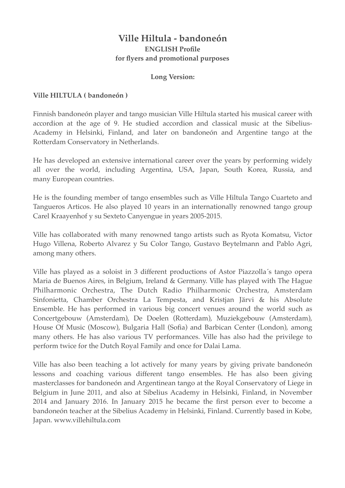# **Ville Hiltula - bandoneón ENGLISH Profile for flyers and promotional purposes**

### **Long Version:**

### **Ville HILTULA ( bandoneón )**

Finnish bandoneón player and tango musician Ville Hiltula started his musical career with accordion at the age of 9. He studied accordion and classical music at the Sibelius-Academy in Helsinki, Finland, and later on bandoneón and Argentine tango at the Rotterdam Conservatory in Netherlands.

He has developed an extensive international career over the years by performing widely all over the world, including Argentina, USA, Japan, South Korea, Russia, and many European countries.

He is the founding member of tango ensembles such as Ville Hiltula Tango Cuarteto and Tangueros Articos. He also played 10 years in an internationally renowned tango group Carel Kraayenhof y su Sexteto Canyengue in years 2005-2015.

Ville has collaborated with many renowned tango artists such as Ryota Komatsu, Victor Hugo Villena, Roberto Alvarez y Su Color Tango, Gustavo Beytelmann and Pablo Agri, among many others.

Ville has played as a soloist in 3 different productions of Astor Piazzolla´s tango opera Maria de Buenos Aires, in Belgium, Ireland & Germany. Ville has played with The Hague Philharmonic Orchestra, The Dutch Radio Philharmonic Orchestra, Amsterdam Sinfonietta, Chamber Orchestra La Tempesta, and Kristjan Järvi & his Absolute Ensemble. He has performed in various big concert venues around the world such as Concertgebouw (Amsterdam), De Doelen (Rotterdam), Muziekgebouw (Amsterdam), House Of Music (Moscow), Bulgaria Hall (Sofia) and Barbican Center (London), among many others. He has also various TV performances. Ville has also had the privilege to perform twice for the Dutch Royal Family and once for Dalai Lama.

Ville has also been teaching a lot actively for many years by giving private bandoneón lessons and coaching various different tango ensembles. He has also been giving masterclasses for bandoneón and Argentinean tango at the Royal Conservatory of Liege in Belgium in June 2011, and also at Sibelius Academy in Helsinki, Finland, in November 2014 and January 2016. In January 2015 he became the first person ever to become a bandoneón teacher at the Sibelius Academy in Helsinki, Finland. Currently based in Kobe, Japan. www.villehiltula.com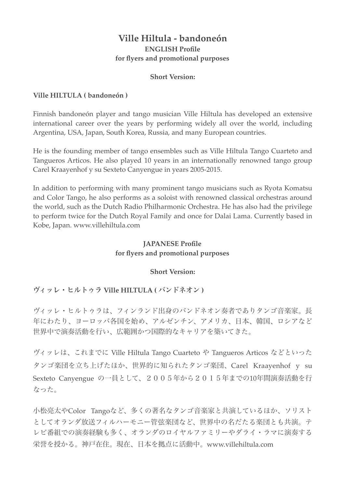# **Ville Hiltula - bandoneón ENGLISH Profile for flyers and promotional purposes**

#### **Short Version:**

### **Ville HILTULA ( bandoneón )**

Finnish bandoneón player and tango musician Ville Hiltula has developed an extensive international career over the years by performing widely all over the world, including Argentina, USA, Japan, South Korea, Russia, and many European countries.

He is the founding member of tango ensembles such as Ville Hiltula Tango Cuarteto and Tangueros Articos. He also played 10 years in an internationally renowned tango group Carel Kraayenhof y su Sexteto Canyengue in years 2005-2015.

In addition to performing with many prominent tango musicians such as Ryota Komatsu and Color Tango, he also performs as a soloist with renowned classical orchestras around the world, such as the Dutch Radio Philharmonic Orchestra. He has also had the privilege to perform twice for the Dutch Royal Family and once for Dalai Lama. Currently based in Kobe, Japan. www.villehiltula.com

# **JAPANESE Profile for flyers and promotional purposes**

### **Short Version:**

# ヴィッレ・ヒルトゥラ **Ville HILTULA (** バンドネオン **)**

ヴィッレ・ヒルトゥラは、フィンランド出身のバンドネオン奏者でありタンゴ音楽家。長 年にわたり、ヨーロッパ各国を始め、アルゼンチン、アメリカ、日本、韓国、ロシアなど 世界中で演奏活動を行い、広範囲かつ国際的なキャリアを築いてきた。

ヴィッレは、これまでに Ville Hiltula Tango Cuarteto や Tangueros Articos などといった タンゴ楽団を立ち上げたほか、世界的に知られたタンゴ楽団、Carel Kraayenhof y su Sexteto Canyengue の一員として、2005年から2015年までの10年間演奏活動を行 なった。

小松亮太やColor Tangoなど、多くの著名なタンゴ音楽家と共演しているほか、ソリスト としてオランダ放送フィルハーモニー管弦楽団など、世界中の名だたる楽団とも共演。テ レビ番組での演奏経験も多く、オランダのロイヤルファミリーやダライ・ラマに演奏する 栄誉を授かる。神戸在住。現在、日本を拠点に活動中。www.villehiltula.com